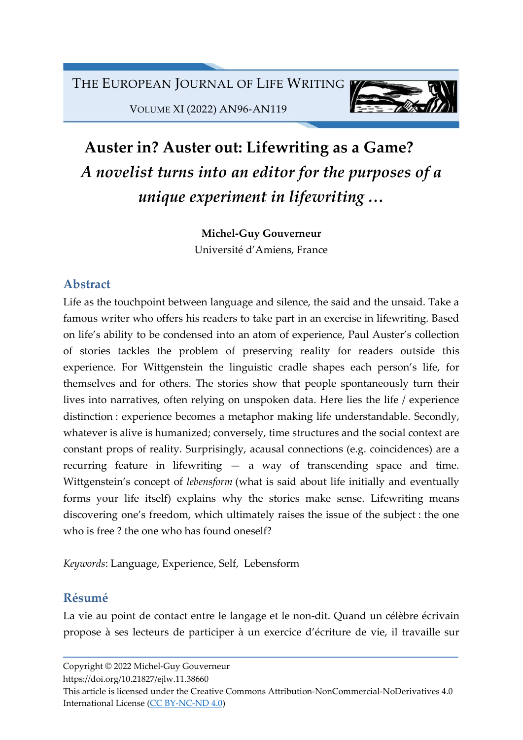

VOLUME XI (2022) AN96-AN119

# Auster in? Auster out: Lifewriting as a Game? A novelist turns into an editor for the purposes of a unique experiment in lifewriting …

Michel-Guy Gouverneur

Université d'Amiens, France

### Abstract

Life as the touchpoint between language and silence, the said and the unsaid. Take a famous writer who offers his readers to take part in an exercise in lifewriting. Based on life's ability to be condensed into an atom of experience, Paul Auster's collection of stories tackles the problem of preserving reality for readers outside this experience. For Wittgenstein the linguistic cradle shapes each person's life, for themselves and for others. The stories show that people spontaneously turn their lives into narratives, often relying on unspoken data. Here lies the life / experience distinction : experience becomes a metaphor making life understandable. Secondly, whatever is alive is humanized; conversely, time structures and the social context are constant props of reality. Surprisingly, acausal connections (e.g. coincidences) are a recurring feature in lifewriting — a way of transcending space and time. Wittgenstein's concept of lebensform (what is said about life initially and eventually forms your life itself) explains why the stories make sense. Lifewriting means discovering one's freedom, which ultimately raises the issue of the subject : the one who is free ? the one who has found oneself?

Keywords: Language, Experience, Self, Lebensform

# Résumé

La vie au point de contact entre le langage et le non-dit. Quand un célèbre écrivain propose à ses lecteurs de participer à un exercice d'écriture de vie, il travaille sur

Copyright © 2022 Michel-Guy Gouverneur

https://doi.org/10.21827/ejlw.11.38660

This article is licensed under the Creative Commons Attribution-NonCommercial-NoDerivatives 4.0 International License (CC BY-NC-ND 4.0)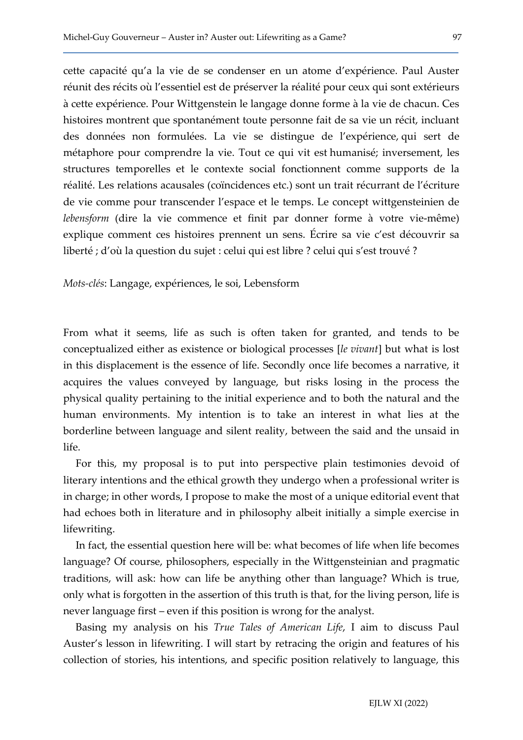cette capacité qu'a la vie de se condenser en un atome d'expérience. Paul Auster réunit des récits où l'essentiel est de préserver la réalité pour ceux qui sont extérieurs à cette expérience. Pour Wittgenstein le langage donne forme à la vie de chacun. Ces histoires montrent que spontanément toute personne fait de sa vie un récit, incluant des données non formulées. La vie se distingue de l'expérience, qui sert de métaphore pour comprendre la vie. Tout ce qui vit est humanisé; inversement, les structures temporelles et le contexte social fonctionnent comme supports de la réalité. Les relations acausales (coïncidences etc.) sont un trait récurrant de l'écriture de vie comme pour transcender l'espace et le temps. Le concept wittgensteinien de lebensform (dire la vie commence et finit par donner forme à votre vie-même) explique comment ces histoires prennent un sens. Écrire sa vie c'est découvrir sa liberté ; d'où la question du sujet : celui qui est libre ? celui qui s'est trouvé ?

Mots-clés: Langage, expériences, le soi, Lebensform

From what it seems, life as such is often taken for granted, and tends to be conceptualized either as existence or biological processes [le vivant] but what is lost in this displacement is the essence of life. Secondly once life becomes a narrative, it acquires the values conveyed by language, but risks losing in the process the physical quality pertaining to the initial experience and to both the natural and the human environments. My intention is to take an interest in what lies at the borderline between language and silent reality, between the said and the unsaid in life.

For this, my proposal is to put into perspective plain testimonies devoid of literary intentions and the ethical growth they undergo when a professional writer is in charge; in other words, I propose to make the most of a unique editorial event that had echoes both in literature and in philosophy albeit initially a simple exercise in lifewriting.

In fact, the essential question here will be: what becomes of life when life becomes language? Of course, philosophers, especially in the Wittgensteinian and pragmatic traditions, will ask: how can life be anything other than language? Which is true, only what is forgotten in the assertion of this truth is that, for the living person, life is never language first – even if this position is wrong for the analyst.

Basing my analysis on his True Tales of American Life, I aim to discuss Paul Auster's lesson in lifewriting. I will start by retracing the origin and features of his collection of stories, his intentions, and specific position relatively to language, this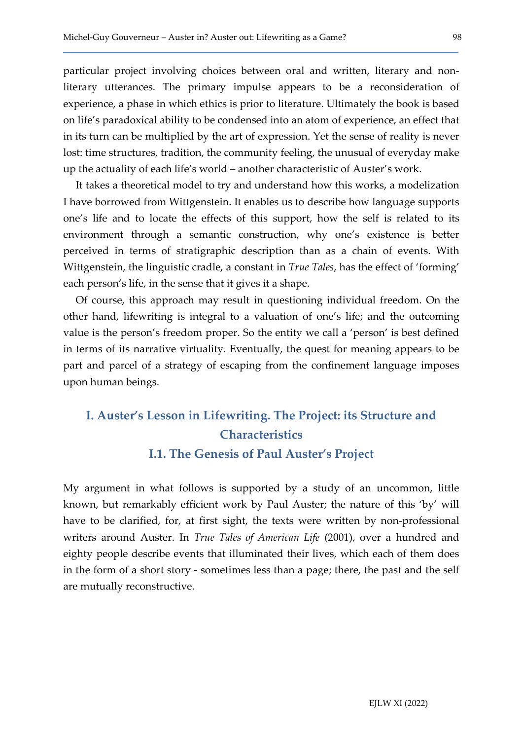particular project involving choices between oral and written, literary and nonliterary utterances. The primary impulse appears to be a reconsideration of experience, a phase in which ethics is prior to literature. Ultimately the book is based on life's paradoxical ability to be condensed into an atom of experience, an effect that in its turn can be multiplied by the art of expression. Yet the sense of reality is never lost: time structures, tradition, the community feeling, the unusual of everyday make up the actuality of each life's world – another characteristic of Auster's work.

It takes a theoretical model to try and understand how this works, a modelization I have borrowed from Wittgenstein. It enables us to describe how language supports one's life and to locate the effects of this support, how the self is related to its environment through a semantic construction, why one's existence is better perceived in terms of stratigraphic description than as a chain of events. With Wittgenstein, the linguistic cradle, a constant in True Tales, has the effect of 'forming' each person's life, in the sense that it gives it a shape.

Of course, this approach may result in questioning individual freedom. On the other hand, lifewriting is integral to a valuation of one's life; and the outcoming value is the person's freedom proper. So the entity we call a 'person' is best defined in terms of its narrative virtuality. Eventually, the quest for meaning appears to be part and parcel of a strategy of escaping from the confinement language imposes upon human beings.

# I. Auster's Lesson in Lifewriting. The Project: its Structure and Characteristics I.1. The Genesis of Paul Auster's Project

My argument in what follows is supported by a study of an uncommon, little known, but remarkably efficient work by Paul Auster; the nature of this 'by' will have to be clarified, for, at first sight, the texts were written by non-professional writers around Auster. In *True Tales of American Life* (2001), over a hundred and eighty people describe events that illuminated their lives, which each of them does in the form of a short story - sometimes less than a page; there, the past and the self are mutually reconstructive.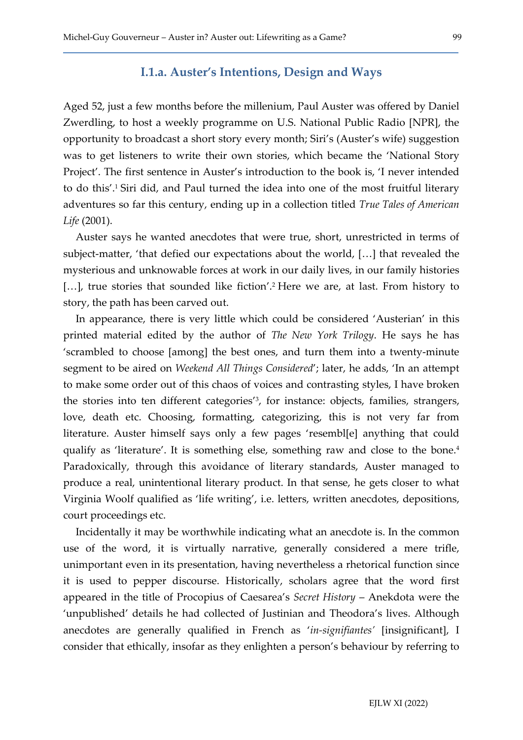#### I.1.a. Auster's Intentions, Design and Ways

Aged 52, just a few months before the millenium, Paul Auster was offered by Daniel Zwerdling, to host a weekly programme on U.S. National Public Radio [NPR], the opportunity to broadcast a short story every month; Siri's (Auster's wife) suggestion was to get listeners to write their own stories, which became the 'National Story Project'. The first sentence in Auster's introduction to the book is, 'I never intended to do this'.<sup>1</sup> Siri did, and Paul turned the idea into one of the most fruitful literary adventures so far this century, ending up in a collection titled True Tales of American Life (2001).

Auster says he wanted anecdotes that were true, short, unrestricted in terms of subject-matter, 'that defied our expectations about the world, […] that revealed the mysterious and unknowable forces at work in our daily lives, in our family histories [...], true stories that sounded like fiction'.<sup>2</sup> Here we are, at last. From history to story, the path has been carved out.

In appearance, there is very little which could be considered 'Austerian' in this printed material edited by the author of The New York Trilogy. He says he has 'scrambled to choose [among] the best ones, and turn them into a twenty-minute segment to be aired on Weekend All Things Considered'; later, he adds, 'In an attempt to make some order out of this chaos of voices and contrasting styles, I have broken the stories into ten different categories'<sup>3</sup> , for instance: objects, families, strangers, love, death etc. Choosing, formatting, categorizing, this is not very far from literature. Auster himself says only a few pages 'resembl[e] anything that could qualify as 'literature'. It is something else, something raw and close to the bone.<sup>4</sup> Paradoxically, through this avoidance of literary standards, Auster managed to produce a real, unintentional literary product. In that sense, he gets closer to what Virginia Woolf qualified as 'life writing', i.e. letters, written anecdotes, depositions, court proceedings etc.

Incidentally it may be worthwhile indicating what an anecdote is. In the common use of the word, it is virtually narrative, generally considered a mere trifle, unimportant even in its presentation, having nevertheless a rhetorical function since it is used to pepper discourse. Historically, scholars agree that the word first appeared in the title of Procopius of Caesarea's Secret History – Anekdota were the 'unpublished' details he had collected of Justinian and Theodora's lives. Although anecdotes are generally qualified in French as 'in-signifiantes' [insignificant], I consider that ethically, insofar as they enlighten a person's behaviour by referring to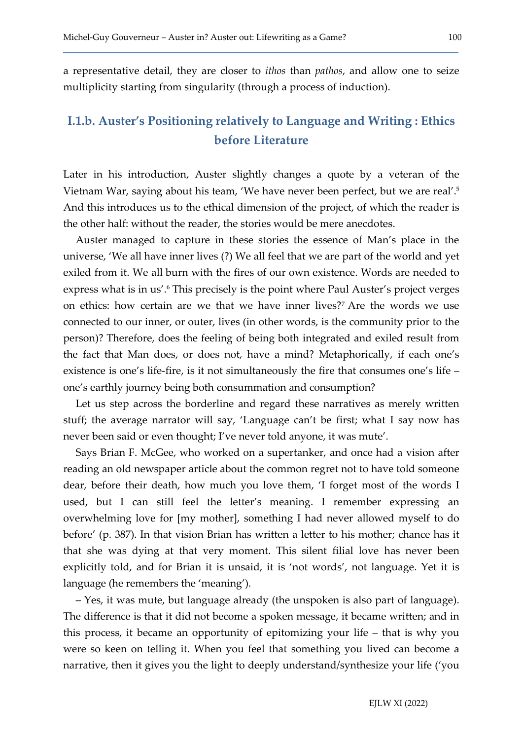a representative detail, they are closer to ithos than pathos, and allow one to seize multiplicity starting from singularity (through a process of induction).

### I.1.b. Auster's Positioning relatively to Language and Writing : Ethics before Literature

Later in his introduction, Auster slightly changes a quote by a veteran of the Vietnam War, saying about his team, 'We have never been perfect, but we are real'.<sup>5</sup> And this introduces us to the ethical dimension of the project, of which the reader is the other half: without the reader, the stories would be mere anecdotes.

Auster managed to capture in these stories the essence of Man's place in the universe, 'We all have inner lives (?) We all feel that we are part of the world and yet exiled from it. We all burn with the fires of our own existence. Words are needed to express what is in us'.<sup>6</sup> This precisely is the point where Paul Auster's project verges on ethics: how certain are we that we have inner lives?<sup>7</sup> Are the words we use connected to our inner, or outer, lives (in other words, is the community prior to the person)? Therefore, does the feeling of being both integrated and exiled result from the fact that Man does, or does not, have a mind? Metaphorically, if each one's existence is one's life-fire, is it not simultaneously the fire that consumes one's life – one's earthly journey being both consummation and consumption?

Let us step across the borderline and regard these narratives as merely written stuff; the average narrator will say, 'Language can't be first; what I say now has never been said or even thought; I've never told anyone, it was mute'.

Says Brian F. McGee, who worked on a supertanker, and once had a vision after reading an old newspaper article about the common regret not to have told someone dear, before their death, how much you love them, 'I forget most of the words I used, but I can still feel the letter's meaning. I remember expressing an overwhelming love for [my mother], something I had never allowed myself to do before' (p. 387). In that vision Brian has written a letter to his mother; chance has it that she was dying at that very moment. This silent filial love has never been explicitly told, and for Brian it is unsaid, it is 'not words', not language. Yet it is language (he remembers the 'meaning').

– Yes, it was mute, but language already (the unspoken is also part of language). The difference is that it did not become a spoken message, it became written; and in this process, it became an opportunity of epitomizing your life – that is why you were so keen on telling it. When you feel that something you lived can become a narrative, then it gives you the light to deeply understand/synthesize your life ('you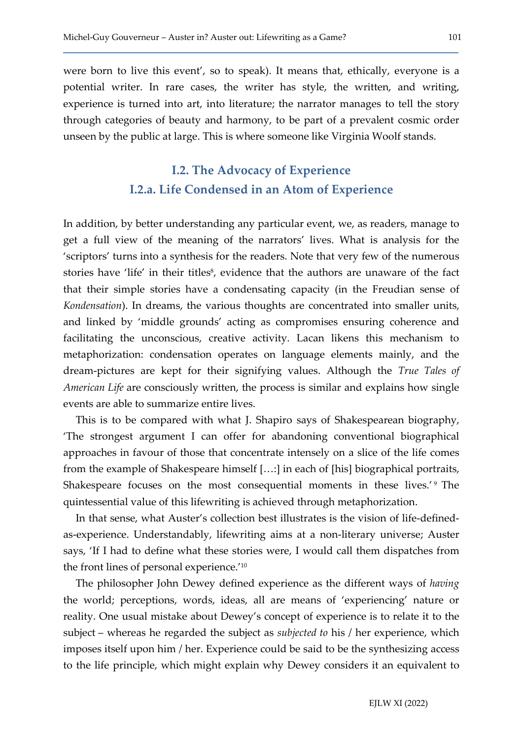were born to live this event', so to speak). It means that, ethically, everyone is a potential writer. In rare cases, the writer has style, the written, and writing, experience is turned into art, into literature; the narrator manages to tell the story through categories of beauty and harmony, to be part of a prevalent cosmic order unseen by the public at large. This is where someone like Virginia Woolf stands.

# I.2. The Advocacy of Experience I.2.a. Life Condensed in an Atom of Experience

In addition, by better understanding any particular event, we, as readers, manage to get a full view of the meaning of the narrators' lives. What is analysis for the 'scriptors' turns into a synthesis for the readers. Note that very few of the numerous stories have 'life' in their titles<sup>8</sup>, evidence that the authors are unaware of the fact that their simple stories have a condensating capacity (in the Freudian sense of Kondensation). In dreams, the various thoughts are concentrated into smaller units, and linked by 'middle grounds' acting as compromises ensuring coherence and facilitating the unconscious, creative activity. Lacan likens this mechanism to metaphorization: condensation operates on language elements mainly, and the dream-pictures are kept for their signifying values. Although the True Tales of American Life are consciously written, the process is similar and explains how single events are able to summarize entire lives.

This is to be compared with what J. Shapiro says of Shakespearean biography, 'The strongest argument I can offer for abandoning conventional biographical approaches in favour of those that concentrate intensely on a slice of the life comes from the example of Shakespeare himself […:] in each of [his] biographical portraits, Shakespeare focuses on the most consequential moments in these lives.<sup>'9</sup> The quintessential value of this lifewriting is achieved through metaphorization.

In that sense, what Auster's collection best illustrates is the vision of life-definedas-experience. Understandably, lifewriting aims at a non-literary universe; Auster says, 'If I had to define what these stories were, I would call them dispatches from the front lines of personal experience.'<sup>10</sup>

The philosopher John Dewey defined experience as the different ways of having the world; perceptions, words, ideas, all are means of 'experiencing' nature or reality. One usual mistake about Dewey's concept of experience is to relate it to the subject – whereas he regarded the subject as *subjected to* his / her experience, which imposes itself upon him / her. Experience could be said to be the synthesizing access to the life principle, which might explain why Dewey considers it an equivalent to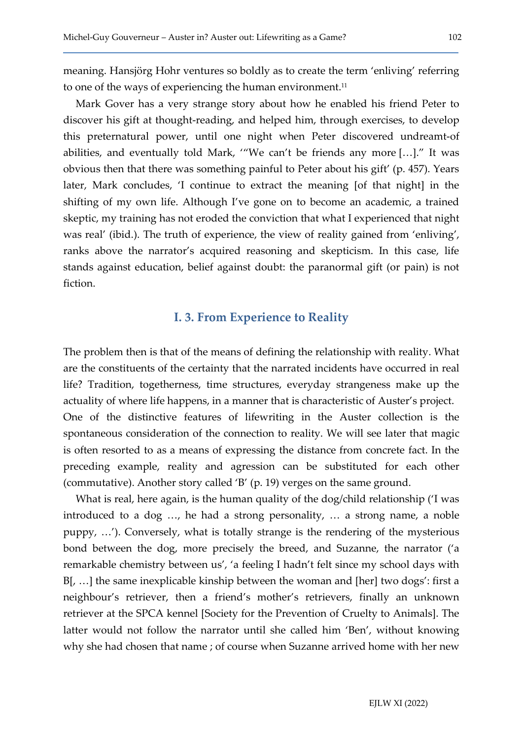meaning. Hansjörg Hohr ventures so boldly as to create the term 'enliving' referring to one of the ways of experiencing the human environment.<sup>11</sup>

Mark Gover has a very strange story about how he enabled his friend Peter to discover his gift at thought-reading, and helped him, through exercises, to develop this preternatural power, until one night when Peter discovered undreamt-of abilities, and eventually told Mark, '"We can't be friends any more […]." It was obvious then that there was something painful to Peter about his gift' (p. 457). Years later, Mark concludes, 'I continue to extract the meaning [of that night] in the shifting of my own life. Although I've gone on to become an academic, a trained skeptic, my training has not eroded the conviction that what I experienced that night was real' (ibid.). The truth of experience, the view of reality gained from 'enliving', ranks above the narrator's acquired reasoning and skepticism. In this case, life stands against education, belief against doubt: the paranormal gift (or pain) is not fiction.

#### I. 3. From Experience to Reality

The problem then is that of the means of defining the relationship with reality. What are the constituents of the certainty that the narrated incidents have occurred in real life? Tradition, togetherness, time structures, everyday strangeness make up the actuality of where life happens, in a manner that is characteristic of Auster's project. One of the distinctive features of lifewriting in the Auster collection is the spontaneous consideration of the connection to reality. We will see later that magic is often resorted to as a means of expressing the distance from concrete fact. In the preceding example, reality and agression can be substituted for each other (commutative). Another story called 'B' (p. 19) verges on the same ground.

What is real, here again, is the human quality of the dog/child relationship ('I was introduced to a dog …, he had a strong personality, … a strong name, a noble puppy, …'). Conversely, what is totally strange is the rendering of the mysterious bond between the dog, more precisely the breed, and Suzanne, the narrator ('a remarkable chemistry between us', 'a feeling I hadn't felt since my school days with B[, …] the same inexplicable kinship between the woman and [her] two dogs': first a neighbour's retriever, then a friend's mother's retrievers, finally an unknown retriever at the SPCA kennel [Society for the Prevention of Cruelty to Animals]. The latter would not follow the narrator until she called him 'Ben', without knowing why she had chosen that name ; of course when Suzanne arrived home with her new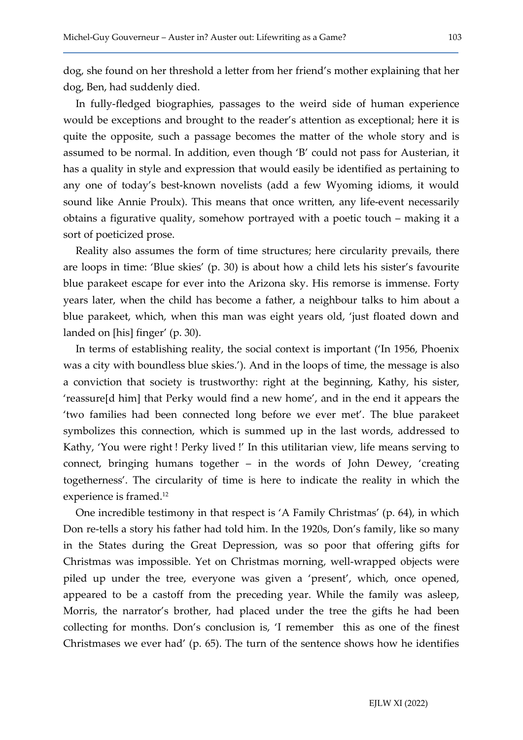dog, she found on her threshold a letter from her friend's mother explaining that her dog, Ben, had suddenly died.

In fully-fledged biographies, passages to the weird side of human experience would be exceptions and brought to the reader's attention as exceptional; here it is quite the opposite, such a passage becomes the matter of the whole story and is assumed to be normal. In addition, even though 'B' could not pass for Austerian, it has a quality in style and expression that would easily be identified as pertaining to any one of today's best-known novelists (add a few Wyoming idioms, it would sound like Annie Proulx). This means that once written, any life-event necessarily obtains a figurative quality, somehow portrayed with a poetic touch – making it a sort of poeticized prose.

Reality also assumes the form of time structures; here circularity prevails, there are loops in time: 'Blue skies' (p. 30) is about how a child lets his sister's favourite blue parakeet escape for ever into the Arizona sky. His remorse is immense. Forty years later, when the child has become a father, a neighbour talks to him about a blue parakeet, which, when this man was eight years old, 'just floated down and landed on [his] finger' (p. 30).

In terms of establishing reality, the social context is important ('In 1956, Phoenix was a city with boundless blue skies.'). And in the loops of time, the message is also a conviction that society is trustworthy: right at the beginning, Kathy, his sister, 'reassure[d him] that Perky would find a new home', and in the end it appears the 'two families had been connected long before we ever met'. The blue parakeet symbolizes this connection, which is summed up in the last words, addressed to Kathy, 'You were right ! Perky lived !' In this utilitarian view, life means serving to connect, bringing humans together – in the words of John Dewey, 'creating togetherness'. The circularity of time is here to indicate the reality in which the experience is framed.<sup>12</sup>

One incredible testimony in that respect is 'A Family Christmas' (p. 64), in which Don re-tells a story his father had told him. In the 1920s, Don's family, like so many in the States during the Great Depression, was so poor that offering gifts for Christmas was impossible. Yet on Christmas morning, well-wrapped objects were piled up under the tree, everyone was given a 'present', which, once opened, appeared to be a castoff from the preceding year. While the family was asleep, Morris, the narrator's brother, had placed under the tree the gifts he had been collecting for months. Don's conclusion is, 'I remember this as one of the finest Christmases we ever had' (p. 65). The turn of the sentence shows how he identifies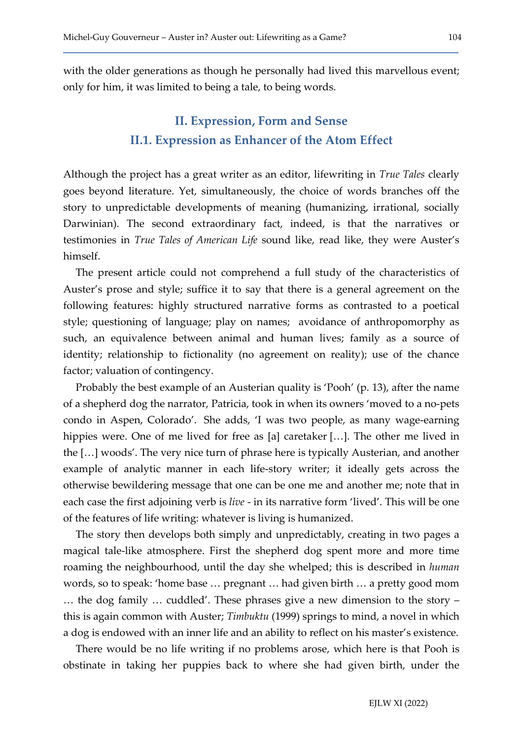with the older generations as though he personally had lived this marvellous event; only for him, it was limited to being a tale, to being words.

# II. Expression, Form and Sense II.1. Expression as Enhancer of the Atom Effect

Although the project has a great writer as an editor, lifewriting in True Tales clearly goes beyond literature. Yet, simultaneously, the choice of words branches off the story to unpredictable developments of meaning (humanizing, irrational, socially Darwinian). The second extraordinary fact, indeed, is that the narratives or testimonies in True Tales of American Life sound like, read like, they were Auster's himself.

The present article could not comprehend a full study of the characteristics of Auster's prose and style; suffice it to say that there is a general agreement on the following features: highly structured narrative forms as contrasted to a poetical style; questioning of language; play on names; avoidance of anthropomorphy as such, an equivalence between animal and human lives; family as a source of identity; relationship to fictionality (no agreement on reality); use of the chance factor; valuation of contingency.

Probably the best example of an Austerian quality is 'Pooh' (p. 13), after the name of a shepherd dog the narrator, Patricia, took in when its owners 'moved to a no-pets condo in Aspen, Colorado'. She adds, 'I was two people, as many wage-earning hippies were. One of me lived for free as [a] caretaker [...]. The other me lived in the […] woods'. The very nice turn of phrase here is typically Austerian, and another example of analytic manner in each life-story writer; it ideally gets across the otherwise bewildering message that one can be one me and another me; note that in each case the first adjoining verb is *live* - in its narrative form 'lived'. This will be one of the features of life writing: whatever is living is humanized.

The story then develops both simply and unpredictably, creating in two pages a magical tale-like atmosphere. First the shepherd dog spent more and more time roaming the neighbourhood, until the day she whelped; this is described in human words, so to speak: 'home base … pregnant … had given birth … a pretty good mom … the dog family … cuddled'. These phrases give a new dimension to the story – this is again common with Auster; Timbuktu (1999) springs to mind, a novel in which a dog is endowed with an inner life and an ability to reflect on his master's existence.

There would be no life writing if no problems arose, which here is that Pooh is obstinate in taking her puppies back to where she had given birth, under the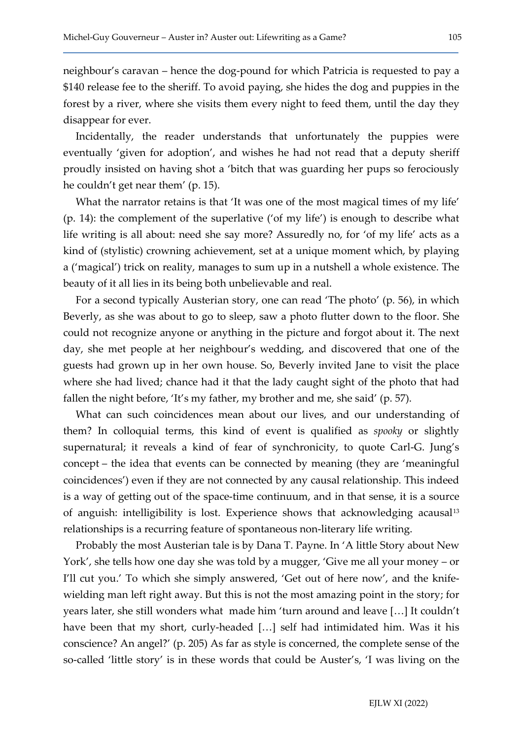neighbour's caravan – hence the dog-pound for which Patricia is requested to pay a \$140 release fee to the sheriff. To avoid paying, she hides the dog and puppies in the forest by a river, where she visits them every night to feed them, until the day they disappear for ever.

Incidentally, the reader understands that unfortunately the puppies were eventually 'given for adoption', and wishes he had not read that a deputy sheriff proudly insisted on having shot a 'bitch that was guarding her pups so ferociously he couldn't get near them' (p. 15).

What the narrator retains is that 'It was one of the most magical times of my life' (p. 14): the complement of the superlative ('of my life') is enough to describe what life writing is all about: need she say more? Assuredly no, for 'of my life' acts as a kind of (stylistic) crowning achievement, set at a unique moment which, by playing a ('magical') trick on reality, manages to sum up in a nutshell a whole existence. The beauty of it all lies in its being both unbelievable and real.

For a second typically Austerian story, one can read 'The photo' (p. 56), in which Beverly, as she was about to go to sleep, saw a photo flutter down to the floor. She could not recognize anyone or anything in the picture and forgot about it. The next day, she met people at her neighbour's wedding, and discovered that one of the guests had grown up in her own house. So, Beverly invited Jane to visit the place where she had lived; chance had it that the lady caught sight of the photo that had fallen the night before, 'It's my father, my brother and me, she said' (p. 57).

What can such coincidences mean about our lives, and our understanding of them? In colloquial terms, this kind of event is qualified as spooky or slightly supernatural; it reveals a kind of fear of synchronicity, to quote Carl-G. Jung's concept – the idea that events can be connected by meaning (they are 'meaningful coincidences') even if they are not connected by any causal relationship. This indeed is a way of getting out of the space-time continuum, and in that sense, it is a source of anguish: intelligibility is lost. Experience shows that acknowledging acausal<sup>13</sup> relationships is a recurring feature of spontaneous non-literary life writing.

Probably the most Austerian tale is by Dana T. Payne. In 'A little Story about New York', she tells how one day she was told by a mugger, 'Give me all your money – or I'll cut you.' To which she simply answered, 'Get out of here now', and the knifewielding man left right away. But this is not the most amazing point in the story; for years later, she still wonders what made him 'turn around and leave […] It couldn't have been that my short, curly-headed […] self had intimidated him. Was it his conscience? An angel?' (p. 205) As far as style is concerned, the complete sense of the so-called 'little story' is in these words that could be Auster's, 'I was living on the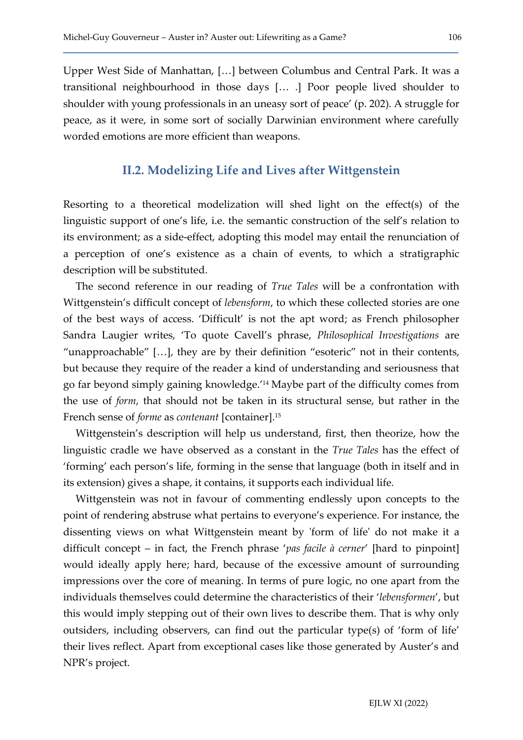Upper West Side of Manhattan, […] between Columbus and Central Park. It was a transitional neighbourhood in those days [… .] Poor people lived shoulder to shoulder with young professionals in an uneasy sort of peace' (p. 202). A struggle for peace, as it were, in some sort of socially Darwinian environment where carefully worded emotions are more efficient than weapons.

#### II.2. Modelizing Life and Lives after Wittgenstein

Resorting to a theoretical modelization will shed light on the effect(s) of the linguistic support of one's life, i.e. the semantic construction of the self's relation to its environment; as a side-effect, adopting this model may entail the renunciation of a perception of one's existence as a chain of events, to which a stratigraphic description will be substituted.

The second reference in our reading of True Tales will be a confrontation with Wittgenstein's difficult concept of *lebensform*, to which these collected stories are one of the best ways of access. 'Difficult' is not the apt word; as French philosopher Sandra Laugier writes, 'To quote Cavell's phrase, Philosophical Investigations are "unapproachable" […], they are by their definition "esoteric" not in their contents, but because they require of the reader a kind of understanding and seriousness that go far beyond simply gaining knowledge.'14 Maybe part of the difficulty comes from the use of form, that should not be taken in its structural sense, but rather in the French sense of *forme* as *contenant* [container].<sup>15</sup>

Wittgenstein's description will help us understand, first, then theorize, how the linguistic cradle we have observed as a constant in the True Tales has the effect of 'forming' each person's life, forming in the sense that language (both in itself and in its extension) gives a shape, it contains, it supports each individual life.

Wittgenstein was not in favour of commenting endlessly upon concepts to the point of rendering abstruse what pertains to everyone's experience. For instance, the dissenting views on what Wittgenstein meant by 'form of life' do not make it a difficult concept – in fact, the French phrase 'pas facile à cerner' [hard to pinpoint] would ideally apply here; hard, because of the excessive amount of surrounding impressions over the core of meaning. In terms of pure logic, no one apart from the individuals themselves could determine the characteristics of their 'lebensformen', but this would imply stepping out of their own lives to describe them. That is why only outsiders, including observers, can find out the particular type(s) of 'form of life' their lives reflect. Apart from exceptional cases like those generated by Auster's and NPR's project.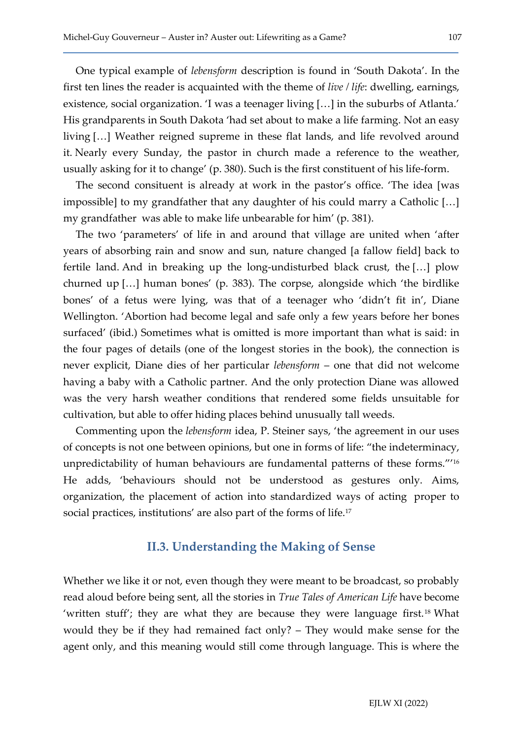One typical example of lebensform description is found in 'South Dakota'. In the first ten lines the reader is acquainted with the theme of live / life: dwelling, earnings, existence, social organization. 'I was a teenager living […] in the suburbs of Atlanta.' His grandparents in South Dakota 'had set about to make a life farming. Not an easy living […] Weather reigned supreme in these flat lands, and life revolved around it. Nearly every Sunday, the pastor in church made a reference to the weather, usually asking for it to change' (p. 380). Such is the first constituent of his life-form.

The second consituent is already at work in the pastor's office. 'The idea [was impossible] to my grandfather that any daughter of his could marry a Catholic […] my grandfather was able to make life unbearable for him' (p. 381).

The two 'parameters' of life in and around that village are united when 'after years of absorbing rain and snow and sun, nature changed [a fallow field] back to fertile land. And in breaking up the long-undisturbed black crust, the […] plow churned up […] human bones' (p. 383). The corpse, alongside which 'the birdlike bones' of a fetus were lying, was that of a teenager who 'didn't fit in', Diane Wellington. 'Abortion had become legal and safe only a few years before her bones surfaced' (ibid.) Sometimes what is omitted is more important than what is said: in the four pages of details (one of the longest stories in the book), the connection is never explicit, Diane dies of her particular lebensform – one that did not welcome having a baby with a Catholic partner. And the only protection Diane was allowed was the very harsh weather conditions that rendered some fields unsuitable for cultivation, but able to offer hiding places behind unusually tall weeds.

Commenting upon the lebensform idea, P. Steiner says, 'the agreement in our uses of concepts is not one between opinions, but one in forms of life: "the indeterminacy, unpredictability of human behaviours are fundamental patterns of these forms."'<sup>16</sup> He adds, 'behaviours should not be understood as gestures only. Aims, organization, the placement of action into standardized ways of acting proper to social practices, institutions' are also part of the forms of life.<sup>17</sup>

#### II.3. Understanding the Making of Sense

Whether we like it or not, even though they were meant to be broadcast, so probably read aloud before being sent, all the stories in True Tales of American Life have become 'written stuff'; they are what they are because they were language first.18 What would they be if they had remained fact only? – They would make sense for the agent only, and this meaning would still come through language. This is where the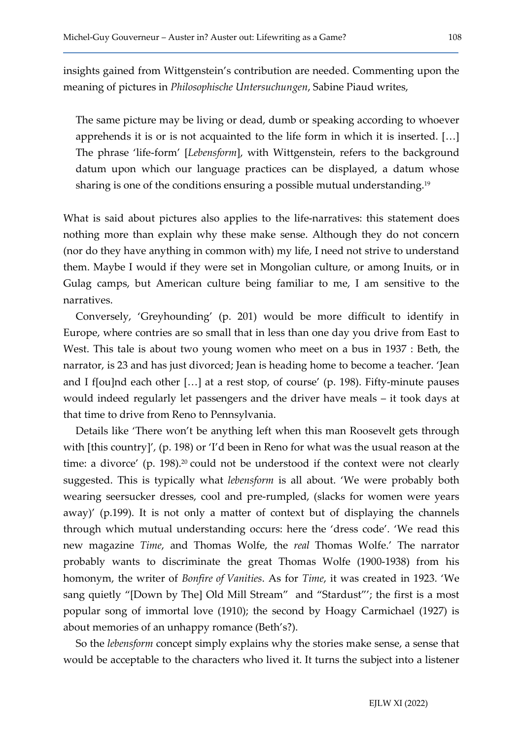insights gained from Wittgenstein's contribution are needed. Commenting upon the meaning of pictures in Philosophische Untersuchungen, Sabine Piaud writes,

The same picture may be living or dead, dumb or speaking according to whoever apprehends it is or is not acquainted to the life form in which it is inserted. […] The phrase 'life-form' [Lebensform], with Wittgenstein, refers to the background datum upon which our language practices can be displayed, a datum whose sharing is one of the conditions ensuring a possible mutual understanding.<sup>19</sup>

What is said about pictures also applies to the life-narratives: this statement does nothing more than explain why these make sense. Although they do not concern (nor do they have anything in common with) my life, I need not strive to understand them. Maybe I would if they were set in Mongolian culture, or among Inuits, or in Gulag camps, but American culture being familiar to me, I am sensitive to the narratives.

Conversely, 'Greyhounding' (p. 201) would be more difficult to identify in Europe, where contries are so small that in less than one day you drive from East to West. This tale is about two young women who meet on a bus in 1937 : Beth, the narrator, is 23 and has just divorced; Jean is heading home to become a teacher. 'Jean and I f[ou]nd each other […] at a rest stop, of course' (p. 198). Fifty-minute pauses would indeed regularly let passengers and the driver have meals – it took days at that time to drive from Reno to Pennsylvania.

Details like 'There won't be anything left when this man Roosevelt gets through with [this country]', (p. 198) or 'I'd been in Reno for what was the usual reason at the time: a divorce' (p. 198).<sup>20</sup> could not be understood if the context were not clearly suggested. This is typically what lebensform is all about. 'We were probably both wearing seersucker dresses, cool and pre-rumpled, (slacks for women were years away)' (p.199). It is not only a matter of context but of displaying the channels through which mutual understanding occurs: here the 'dress code'. 'We read this new magazine Time, and Thomas Wolfe, the real Thomas Wolfe.' The narrator probably wants to discriminate the great Thomas Wolfe (1900-1938) from his homonym, the writer of Bonfire of Vanities. As for Time, it was created in 1923. 'We sang quietly "[Down by The] Old Mill Stream" and "Stardust"'; the first is a most popular song of immortal love (1910); the second by Hoagy Carmichael (1927) is about memories of an unhappy romance (Beth's?).

So the lebensform concept simply explains why the stories make sense, a sense that would be acceptable to the characters who lived it. It turns the subject into a listener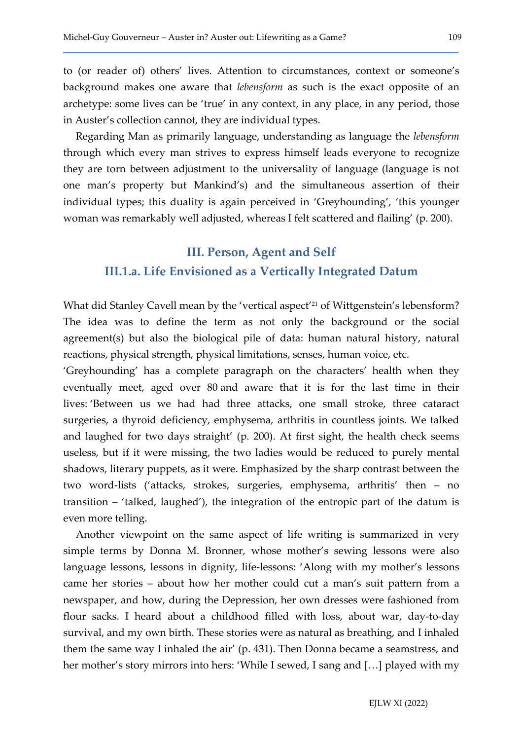to (or reader of) others' lives. Attention to circumstances, context or someone's background makes one aware that lebensform as such is the exact opposite of an archetype: some lives can be 'true' in any context, in any place, in any period, those in Auster's collection cannot, they are individual types.

Regarding Man as primarily language, understanding as language the lebensform through which every man strives to express himself leads everyone to recognize they are torn between adjustment to the universality of language (language is not one man's property but Mankind's) and the simultaneous assertion of their individual types; this duality is again perceived in 'Greyhounding', 'this younger woman was remarkably well adjusted, whereas I felt scattered and flailing' (p. 200).

# III. Person, Agent and Self III.1.a. Life Envisioned as a Vertically Integrated Datum

What did Stanley Cavell mean by the 'vertical aspect<sup>'21</sup> of Wittgenstein's lebensform? The idea was to define the term as not only the background or the social agreement(s) but also the biological pile of data: human natural history, natural reactions, physical strength, physical limitations, senses, human voice, etc.

'Greyhounding' has a complete paragraph on the characters' health when they eventually meet, aged over 80 and aware that it is for the last time in their lives: 'Between us we had had three attacks, one small stroke, three cataract surgeries, a thyroid deficiency, emphysema, arthritis in countless joints. We talked and laughed for two days straight' (p. 200). At first sight, the health check seems useless, but if it were missing, the two ladies would be reduced to purely mental shadows, literary puppets, as it were. Emphasized by the sharp contrast between the two word-lists ('attacks, strokes, surgeries, emphysema, arthritis' then – no transition – 'talked, laughed'), the integration of the entropic part of the datum is even more telling.

Another viewpoint on the same aspect of life writing is summarized in very simple terms by Donna M. Bronner, whose mother's sewing lessons were also language lessons, lessons in dignity, life-lessons: 'Along with my mother's lessons came her stories – about how her mother could cut a man's suit pattern from a newspaper, and how, during the Depression, her own dresses were fashioned from flour sacks. I heard about a childhood filled with loss, about war, day-to-day survival, and my own birth. These stories were as natural as breathing, and I inhaled them the same way I inhaled the air' (p. 431). Then Donna became a seamstress, and her mother's story mirrors into hers: 'While I sewed, I sang and […] played with my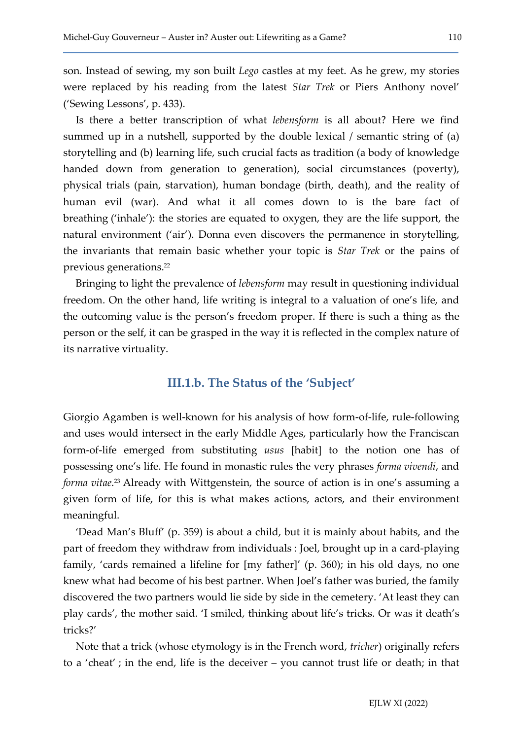son. Instead of sewing, my son built Lego castles at my feet. As he grew, my stories were replaced by his reading from the latest Star Trek or Piers Anthony novel' ('Sewing Lessons', p. 433).

Is there a better transcription of what lebensform is all about? Here we find summed up in a nutshell, supported by the double lexical / semantic string of (a) storytelling and (b) learning life, such crucial facts as tradition (a body of knowledge handed down from generation to generation), social circumstances (poverty), physical trials (pain, starvation), human bondage (birth, death), and the reality of human evil (war). And what it all comes down to is the bare fact of breathing ('inhale'): the stories are equated to oxygen, they are the life support, the natural environment ('air'). Donna even discovers the permanence in storytelling, the invariants that remain basic whether your topic is Star Trek or the pains of previous generations.<sup>22</sup>

Bringing to light the prevalence of lebensform may result in questioning individual freedom. On the other hand, life writing is integral to a valuation of one's life, and the outcoming value is the person's freedom proper. If there is such a thing as the person or the self, it can be grasped in the way it is reflected in the complex nature of its narrative virtuality.

#### III.1.b. The Status of the 'Subject'

Giorgio Agamben is well-known for his analysis of how form-of-life, rule-following and uses would intersect in the early Middle Ages, particularly how the Franciscan form-of-life emerged from substituting usus [habit] to the notion one has of possessing one's life. He found in monastic rules the very phrases forma vivendi, and forma vitae.<sup>23</sup> Already with Wittgenstein, the source of action is in one's assuming a given form of life, for this is what makes actions, actors, and their environment meaningful.

'Dead Man's Bluff' (p. 359) is about a child, but it is mainly about habits, and the part of freedom they withdraw from individuals : Joel, brought up in a card-playing family, 'cards remained a lifeline for [my father]' (p. 360); in his old days, no one knew what had become of his best partner. When Joel's father was buried, the family discovered the two partners would lie side by side in the cemetery. 'At least they can play cards', the mother said. 'I smiled, thinking about life's tricks. Or was it death's tricks?'

Note that a trick (whose etymology is in the French word, tricher) originally refers to a 'cheat' ; in the end, life is the deceiver – you cannot trust life or death; in that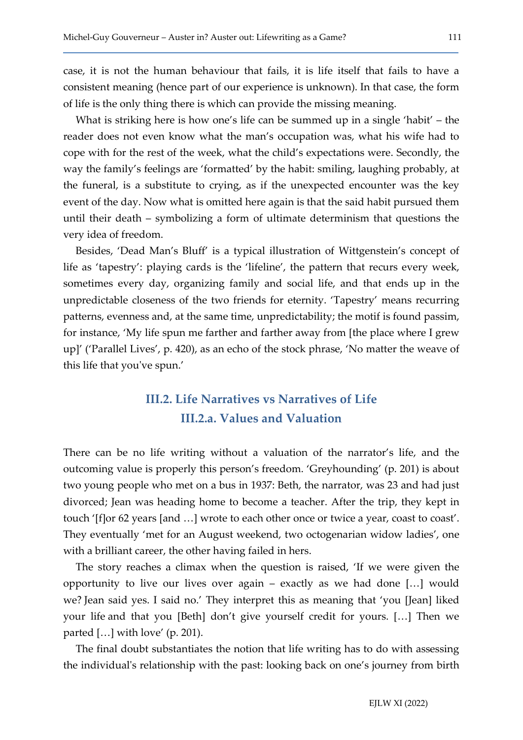case, it is not the human behaviour that fails, it is life itself that fails to have a consistent meaning (hence part of our experience is unknown). In that case, the form of life is the only thing there is which can provide the missing meaning.

What is striking here is how one's life can be summed up in a single 'habit' – the reader does not even know what the man's occupation was, what his wife had to cope with for the rest of the week, what the child's expectations were. Secondly, the way the family's feelings are 'formatted' by the habit: smiling, laughing probably, at the funeral, is a substitute to crying, as if the unexpected encounter was the key event of the day. Now what is omitted here again is that the said habit pursued them until their death – symbolizing a form of ultimate determinism that questions the very idea of freedom.

Besides, 'Dead Man's Bluff' is a typical illustration of Wittgenstein's concept of life as 'tapestry': playing cards is the 'lifeline', the pattern that recurs every week, sometimes every day, organizing family and social life, and that ends up in the unpredictable closeness of the two friends for eternity. 'Tapestry' means recurring patterns, evenness and, at the same time, unpredictability; the motif is found passim, for instance, 'My life spun me farther and farther away from [the place where I grew up]' ('Parallel Lives', p. 420), as an echo of the stock phrase, 'No matter the weave of this life that you've spun.'

### III.2. Life Narratives vs Narratives of Life III.2.a. Values and Valuation

There can be no life writing without a valuation of the narrator's life, and the outcoming value is properly this person's freedom. 'Greyhounding' (p. 201) is about two young people who met on a bus in 1937: Beth, the narrator, was 23 and had just divorced; Jean was heading home to become a teacher. After the trip, they kept in touch '[f]or 62 years [and …] wrote to each other once or twice a year, coast to coast'. They eventually 'met for an August weekend, two octogenarian widow ladies', one with a brilliant career, the other having failed in hers.

The story reaches a climax when the question is raised, 'If we were given the opportunity to live our lives over again – exactly as we had done […] would we? Jean said yes. I said no.' They interpret this as meaning that 'you [Jean] liked your life and that you [Beth] don't give yourself credit for yours. […] Then we parted […] with love' (p. 201).

The final doubt substantiates the notion that life writing has to do with assessing the individual's relationship with the past: looking back on one's journey from birth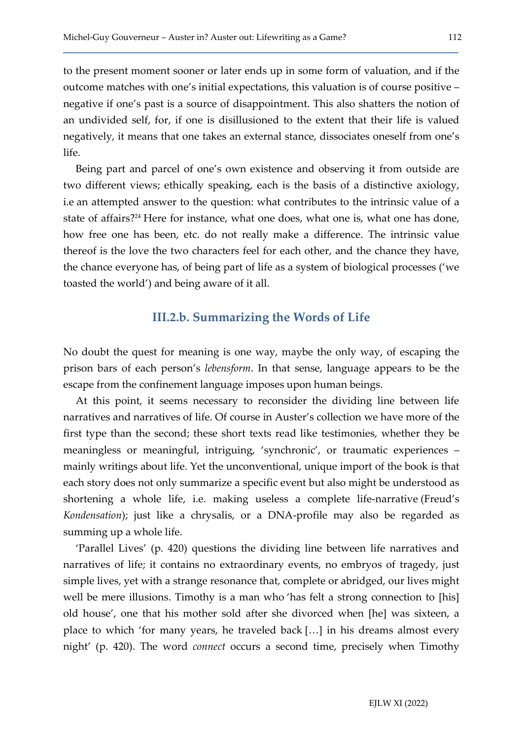to the present moment sooner or later ends up in some form of valuation, and if the outcome matches with one's initial expectations, this valuation is of course positive – negative if one's past is a source of disappointment. This also shatters the notion of an undivided self, for, if one is disillusioned to the extent that their life is valued negatively, it means that one takes an external stance, dissociates oneself from one's life.

Being part and parcel of one's own existence and observing it from outside are two different views; ethically speaking, each is the basis of a distinctive axiology, i.e an attempted answer to the question: what contributes to the intrinsic value of a state of affairs?24 Here for instance, what one does, what one is, what one has done, how free one has been, etc. do not really make a difference. The intrinsic value thereof is the love the two characters feel for each other, and the chance they have, the chance everyone has, of being part of life as a system of biological processes ('we toasted the world') and being aware of it all.

#### III.2.b. Summarizing the Words of Life

No doubt the quest for meaning is one way, maybe the only way, of escaping the prison bars of each person's lebensform. In that sense, language appears to be the escape from the confinement language imposes upon human beings.

At this point, it seems necessary to reconsider the dividing line between life narratives and narratives of life. Of course in Auster's collection we have more of the first type than the second; these short texts read like testimonies, whether they be meaningless or meaningful, intriguing, 'synchronic', or traumatic experiences – mainly writings about life. Yet the unconventional, unique import of the book is that each story does not only summarize a specific event but also might be understood as shortening a whole life, i.e. making useless a complete life-narrative (Freud's Kondensation); just like a chrysalis, or a DNA-profile may also be regarded as summing up a whole life.

'Parallel Lives' (p. 420) questions the dividing line between life narratives and narratives of life; it contains no extraordinary events, no embryos of tragedy, just simple lives, yet with a strange resonance that, complete or abridged, our lives might well be mere illusions. Timothy is a man who 'has felt a strong connection to [his] old house', one that his mother sold after she divorced when [he] was sixteen, a place to which 'for many years, he traveled back […] in his dreams almost every night' (p. 420). The word connect occurs a second time, precisely when Timothy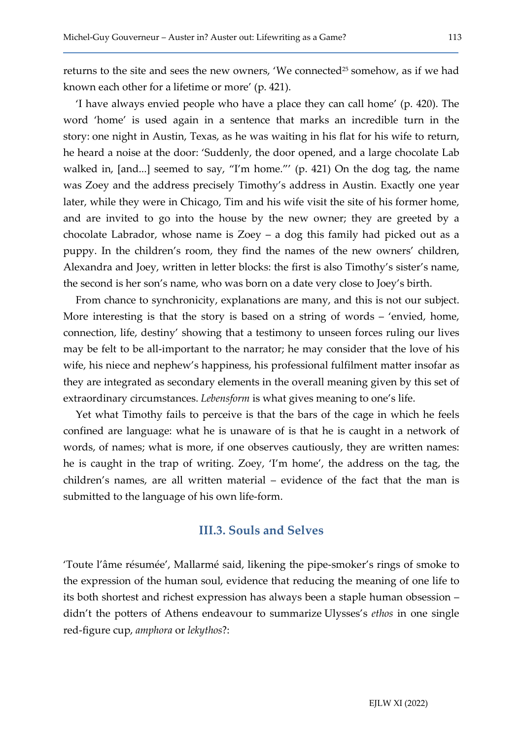returns to the site and sees the new owners, 'We connected<sup>25</sup> somehow, as if we had known each other for a lifetime or more' (p. 421).

'I have always envied people who have a place they can call home' (p. 420). The word 'home' is used again in a sentence that marks an incredible turn in the story: one night in Austin, Texas, as he was waiting in his flat for his wife to return, he heard a noise at the door: 'Suddenly, the door opened, and a large chocolate Lab walked in, [and...] seemed to say, "I'm home."' (p. 421) On the dog tag, the name was Zoey and the address precisely Timothy's address in Austin. Exactly one year later, while they were in Chicago, Tim and his wife visit the site of his former home, and are invited to go into the house by the new owner; they are greeted by a chocolate Labrador, whose name is Zoey – a dog this family had picked out as a puppy. In the children's room, they find the names of the new owners' children, Alexandra and Joey, written in letter blocks: the first is also Timothy's sister's name, the second is her son's name, who was born on a date very close to Joey's birth.

From chance to synchronicity, explanations are many, and this is not our subject. More interesting is that the story is based on a string of words – 'envied, home, connection, life, destiny' showing that a testimony to unseen forces ruling our lives may be felt to be all-important to the narrator; he may consider that the love of his wife, his niece and nephew's happiness, his professional fulfilment matter insofar as they are integrated as secondary elements in the overall meaning given by this set of extraordinary circumstances. Lebensform is what gives meaning to one's life.

Yet what Timothy fails to perceive is that the bars of the cage in which he feels confined are language: what he is unaware of is that he is caught in a network of words, of names; what is more, if one observes cautiously, they are written names: he is caught in the trap of writing. Zoey, 'I'm home', the address on the tag, the children's names, are all written material – evidence of the fact that the man is submitted to the language of his own life-form.

#### III.3. Souls and Selves

'Toute l'âme résumée', Mallarmé said, likening the pipe-smoker's rings of smoke to the expression of the human soul, evidence that reducing the meaning of one life to its both shortest and richest expression has always been a staple human obsession – didn't the potters of Athens endeavour to summarize Ulysses's *ethos* in one single red-figure cup, amphora or lekythos?: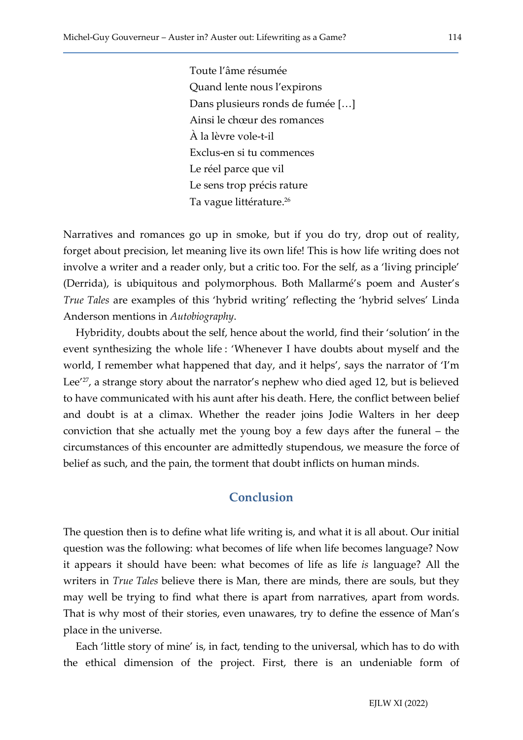Toute l'âme résumée Quand lente nous l'expirons Dans plusieurs ronds de fumée […] Ainsi le chœur des romances À la lèvre vole-t-il Exclus-en si tu commences Le réel parce que vil Le sens trop précis rature Ta vague littérature.<sup>26</sup>

Narratives and romances go up in smoke, but if you do try, drop out of reality, forget about precision, let meaning live its own life! This is how life writing does not involve a writer and a reader only, but a critic too. For the self, as a 'living principle' (Derrida), is ubiquitous and polymorphous. Both Mallarmé's poem and Auster's True Tales are examples of this 'hybrid writing' reflecting the 'hybrid selves' Linda Anderson mentions in Autobiography.

Hybridity, doubts about the self, hence about the world, find their 'solution' in the event synthesizing the whole life : 'Whenever I have doubts about myself and the world, I remember what happened that day, and it helps', says the narrator of 'I'm Lee<sup>'27</sup>, a strange story about the narrator's nephew who died aged 12, but is believed to have communicated with his aunt after his death. Here, the conflict between belief and doubt is at a climax. Whether the reader joins Jodie Walters in her deep conviction that she actually met the young boy a few days after the funeral – the circumstances of this encounter are admittedly stupendous, we measure the force of belief as such, and the pain, the torment that doubt inflicts on human minds.

#### Conclusion

The question then is to define what life writing is, and what it is all about. Our initial question was the following: what becomes of life when life becomes language? Now it appears it should have been: what becomes of life as life is language? All the writers in *True Tales* believe there is Man, there are minds, there are souls, but they may well be trying to find what there is apart from narratives, apart from words. That is why most of their stories, even unawares, try to define the essence of Man's place in the universe.

Each 'little story of mine' is, in fact, tending to the universal, which has to do with the ethical dimension of the project. First, there is an undeniable form of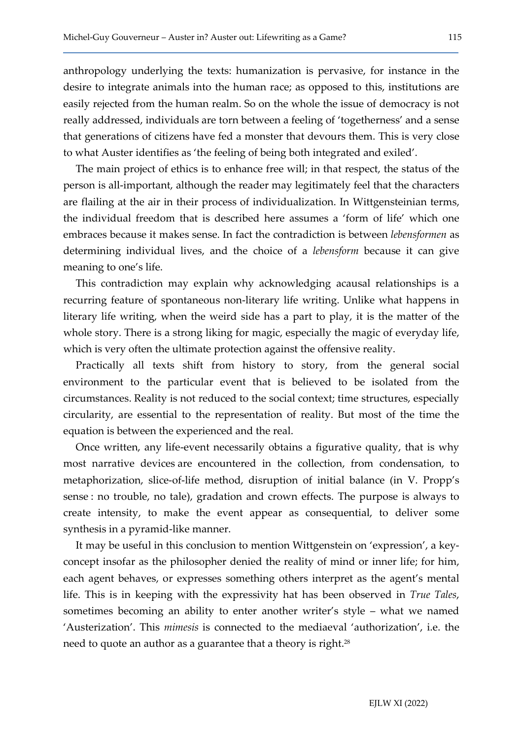anthropology underlying the texts: humanization is pervasive, for instance in the desire to integrate animals into the human race; as opposed to this, institutions are easily rejected from the human realm. So on the whole the issue of democracy is not really addressed, individuals are torn between a feeling of 'togetherness' and a sense that generations of citizens have fed a monster that devours them. This is very close to what Auster identifies as 'the feeling of being both integrated and exiled'.

The main project of ethics is to enhance free will; in that respect, the status of the person is all-important, although the reader may legitimately feel that the characters are flailing at the air in their process of individualization. In Wittgensteinian terms, the individual freedom that is described here assumes a 'form of life' which one embraces because it makes sense. In fact the contradiction is between lebensformen as determining individual lives, and the choice of a lebensform because it can give meaning to one's life.

This contradiction may explain why acknowledging acausal relationships is a recurring feature of spontaneous non-literary life writing. Unlike what happens in literary life writing, when the weird side has a part to play, it is the matter of the whole story. There is a strong liking for magic, especially the magic of everyday life, which is very often the ultimate protection against the offensive reality.

Practically all texts shift from history to story, from the general social environment to the particular event that is believed to be isolated from the circumstances. Reality is not reduced to the social context; time structures, especially circularity, are essential to the representation of reality. But most of the time the equation is between the experienced and the real.

Once written, any life-event necessarily obtains a figurative quality, that is why most narrative devices are encountered in the collection, from condensation, to metaphorization, slice-of-life method, disruption of initial balance (in V. Propp's sense : no trouble, no tale), gradation and crown effects. The purpose is always to create intensity, to make the event appear as consequential, to deliver some synthesis in a pyramid-like manner.

It may be useful in this conclusion to mention Wittgenstein on 'expression', a keyconcept insofar as the philosopher denied the reality of mind or inner life; for him, each agent behaves, or expresses something others interpret as the agent's mental life. This is in keeping with the expressivity hat has been observed in True Tales, sometimes becoming an ability to enter another writer's style – what we named 'Austerization'. This mimesis is connected to the mediaeval 'authorization', i.e. the need to quote an author as a guarantee that a theory is right.<sup>28</sup>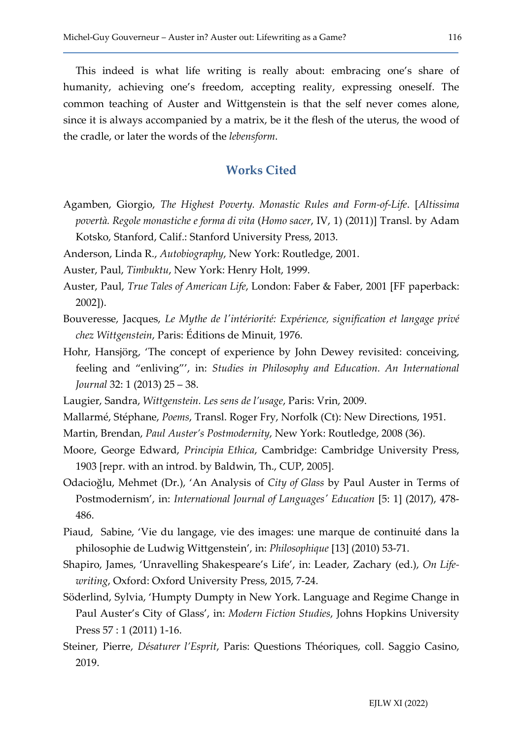This indeed is what life writing is really about: embracing one's share of humanity, achieving one's freedom, accepting reality, expressing oneself. The common teaching of Auster and Wittgenstein is that the self never comes alone, since it is always accompanied by a matrix, be it the flesh of the uterus, the wood of the cradle, or later the words of the lebensform.

#### Works Cited

Agamben, Giorgio, The Highest Poverty. Monastic Rules and Form-of-Life. [Altissima povertà. Regole monastiche e forma di vita (Homo sacer, IV, 1) (2011)] Transl. by Adam Kotsko, Stanford, Calif.: Stanford University Press, 2013.

Anderson, Linda R., Autobiography, New York: Routledge, 2001.

Auster, Paul, Timbuktu, New York: Henry Holt, 1999.

- Auster, Paul, True Tales of American Life, London: Faber & Faber, 2001 [FF paperback: 2002]).
- Bouveresse, Jacques, Le Mythe de l'intériorité: Expérience, signification et langage privé chez Wittgenstein, Paris: Éditions de Minuit, 1976.
- Hohr, Hansjörg, 'The concept of experience by John Dewey revisited: conceiving, feeling and "enliving"', in: Studies in Philosophy and Education. An International Journal 32: 1 (2013) 25 – 38.
- Laugier, Sandra, Wittgenstein. Les sens de l'usage, Paris: Vrin, 2009.
- Mallarmé, Stéphane, Poems, Transl. Roger Fry, Norfolk (Ct): New Directions, 1951.
- Martin, Brendan, Paul Auster's Postmodernity, New York: Routledge, 2008 (36).
- Moore, George Edward, Principia Ethica, Cambridge: Cambridge University Press, 1903 [repr. with an introd. by Baldwin, Th., CUP, 2005].
- Odacioğlu, Mehmet (Dr.), 'An Analysis of City of Glass by Paul Auster in Terms of Postmodernism', in: International Journal of Languages' Education [5: 1] (2017), 478- 486.
- Piaud, Sabine, 'Vie du langage, vie des images: une marque de continuité dans la philosophie de Ludwig Wittgenstein', in: Philosophique [13] (2010) 53-71.
- Shapiro, James, 'Unravelling Shakespeare's Life', in: Leader, Zachary (ed.), On Lifewriting, Oxford: Oxford University Press, 2015, 7-24.
- Söderlind, Sylvia, 'Humpty Dumpty in New York. Language and Regime Change in Paul Auster's City of Glass', in: Modern Fiction Studies, Johns Hopkins University Press 57 : 1 (2011) 1-16.
- Steiner, Pierre, Désaturer l'Esprit, Paris: Questions Théoriques, coll. Saggio Casino, 2019.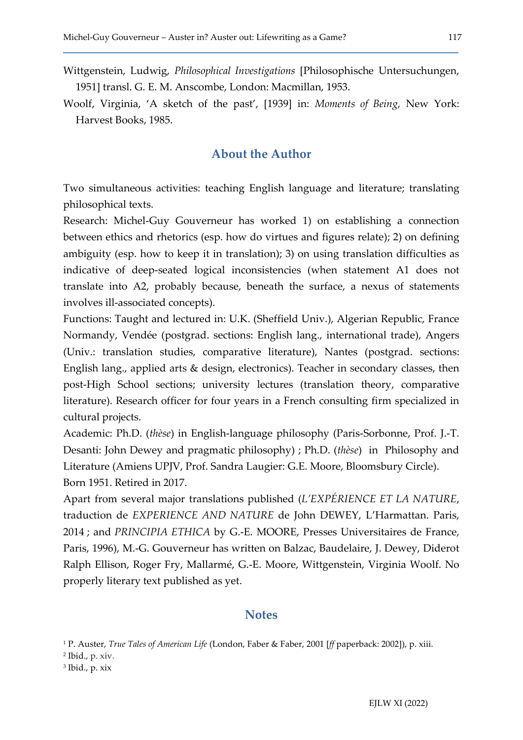- Wittgenstein, Ludwig, Philosophical Investigations [Philosophische Untersuchungen, 1951] transl. G. E. M. Anscombe, London: Macmillan, 1953.
- Woolf, Virginia, 'A sketch of the past', [1939] in: Moments of Being, New York: Harvest Books, 1985.

#### About the Author

Two simultaneous activities: teaching English language and literature; translating philosophical texts.

Research: Michel-Guy Gouverneur has worked 1) on establishing a connection between ethics and rhetorics (esp. how do virtues and figures relate); 2) on defining ambiguity (esp. how to keep it in translation); 3) on using translation difficulties as indicative of deep-seated logical inconsistencies (when statement A1 does not translate into A2, probably because, beneath the surface, a nexus of statements involves ill-associated concepts).

Functions: Taught and lectured in: U.K. (Sheffield Univ.), Algerian Republic, France Normandy, Vendée (postgrad. sections: English lang., international trade), Angers (Univ.: translation studies, comparative literature), Nantes (postgrad. sections: English lang., applied arts & design, electronics). Teacher in secondary classes, then post-High School sections; university lectures (translation theory, comparative literature). Research officer for four years in a French consulting firm specialized in cultural projects.

Academic: Ph.D. (thèse) in English-language philosophy (Paris-Sorbonne, Prof. J.-T. Desanti: John Dewey and pragmatic philosophy) ; Ph.D. (thèse) in Philosophy and Literature (Amiens UPJV, Prof. Sandra Laugier: G.E. Moore, Bloomsbury Circle). Born 1951. Retired in 2017.

Apart from several major translations published (L'EXPÉRIENCE ET LA NATURE, traduction de EXPERIENCE AND NATURE de John DEWEY, L'Harmattan. Paris, 2014 ; and PRINCIPIA ETHICA by G.-E. MOORE, Presses Universitaires de France, Paris, 1996), M.-G. Gouverneur has written on Balzac, Baudelaire, J. Dewey, Diderot Ralph Ellison, Roger Fry, Mallarmé, G.-E. Moore, Wittgenstein, Virginia Woolf. No properly literary text published as yet.

#### **Notes**

- 2 Ibid., p. xiv.
- 3 Ibid., p. xix

<sup>&</sup>lt;sup>1</sup> P. Auster, *True Tales of American Life* (London, Faber & Faber, 2001 [*ff* paperback: 2002]), p. xiii.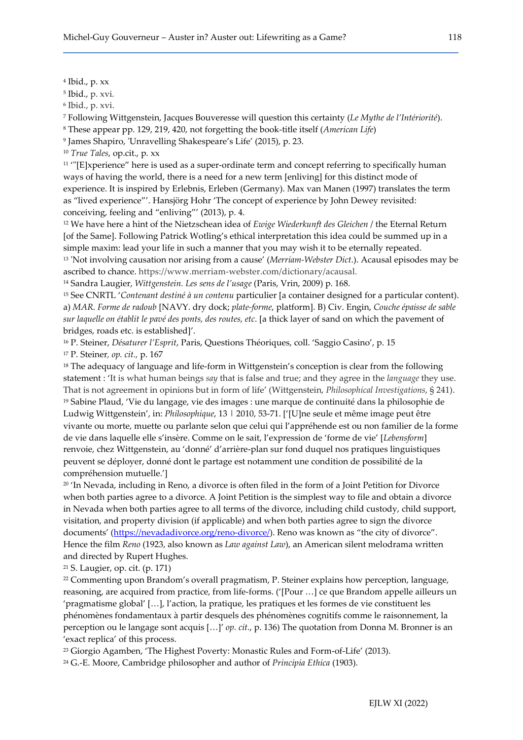4 Ibid., p. xx

5 Ibid., p. xvi.

<sup>6</sup> Ibid., p. xvi.

<sup>7</sup> Following Wittgenstein, Jacques Bouveresse will question this certainty (Le Mythe de l'Intériorité).

<sup>8</sup> These appear pp. 129, 219, 420, not forgetting the book-title itself (American Life)

9 James Shapiro, 'Unravelling Shakespeare's Life' (2015), p. 23.

<sup>10</sup> True Tales, op.cit., p. xx

<sup>11</sup> "[E]xperience" here is used as a super-ordinate term and concept referring to specifically human ways of having the world, there is a need for a new term [enliving] for this distinct mode of experience. It is inspired by Erlebnis, Erleben (Germany). Max van Manen (1997) translates the term as "lived experience"'. Hansjörg Hohr 'The concept of experience by John Dewey revisited: conceiving, feeling and "enliving"' (2013), p. 4.

<sup>12</sup> We have here a hint of the Nietzschean idea of *Ewige Wiederkunft des Gleichen* / the Eternal Return [of the Same]. Following Patrick Wotling's ethical interpretation this idea could be summed up in a simple maxim: lead your life in such a manner that you may wish it to be eternally repeated. <sup>13</sup> 'Not involving causation nor arising from a cause' (Merriam-Webster Dict.). Acausal episodes may be ascribed to chance. https://www.merriam-webster.com/dictionary/acausal.

<sup>14</sup> Sandra Laugier, Wittgenstein. Les sens de l'usage (Paris, Vrin, 2009) p. 168.

<sup>15</sup> See CNRTL 'Contenant destiné à un contenu particulier [a container designed for a particular content). a) MAR. Forme de radoub [NAVY. dry dock; plate-forme, platform]. B) Civ. Engin, Couche épaisse de sable sur laquelle on établit le pavé des ponts, des routes, etc. [a thick layer of sand on which the pavement of bridges, roads etc. is established]'.

<sup>16</sup> P. Steiner, Désaturer l'Esprit, Paris, Questions Théoriques, coll. 'Saggio Casino', p. 15

<sup>17</sup> P. Steiner, op. cit., p. 167

<sup>18</sup> The adequacy of language and life-form in Wittgenstein's conception is clear from the following statement : 'It is what human beings say that is false and true; and they agree in the language they use. That is not agreement in opinions but in form of life' (Wittgenstein, Philosophical Investigations, § 241). <sup>19</sup> Sabine Plaud, 'Vie du langage, vie des images : une marque de continuité dans la philosophie de Ludwig Wittgenstein', in: Philosophique, 13 | 2010, 53-71. ['[U]ne seule et même image peut être vivante ou morte, muette ou parlante selon que celui qui l'appréhende est ou non familier de la forme de vie dans laquelle elle s'insère. Comme on le sait, l'expression de 'forme de vie' [Lebensform] renvoie, chez Wittgenstein, au 'donné' d'arrière-plan sur fond duquel nos pratiques linguistiques peuvent se déployer, donné dont le partage est notamment une condition de possibilité de la compréhension mutuelle.']

<sup>20</sup> 'In Nevada, including in Reno, a divorce is often filed in the form of a Joint Petition for Divorce when both parties agree to a divorce. A Joint Petition is the simplest way to file and obtain a divorce in Nevada when both parties agree to all terms of the divorce, including child custody, child support, visitation, and property division (if applicable) and when both parties agree to sign the divorce documents' (https://nevadadivorce.org/reno-divorce/). Reno was known as "the city of divorce". Hence the film Reno (1923, also known as Law against Law), an American silent melodrama written and directed by Rupert Hughes.

<sup>21</sup> S. Laugier, op. cit. (p. 171)

<sup>22</sup> Commenting upon Brandom's overall pragmatism, P. Steiner explains how perception, language, reasoning, are acquired from practice, from life-forms. ('[Pour …] ce que Brandom appelle ailleurs un 'pragmatisme global' […], l'action, la pratique, les pratiques et les formes de vie constituent les phénomènes fondamentaux à partir desquels des phénomènes cognitifs comme le raisonnement, la perception ou le langage sont acquis […]' op. cit., p. 136) The quotation from Donna M. Bronner is an 'exact replica' of this process.

<sup>23</sup> Giorgio Agamben, 'The Highest Poverty: Monastic Rules and Form-of-Life' (2013).

 $24$  G.-E. Moore, Cambridge philosopher and author of *Principia Ethica* (1903).